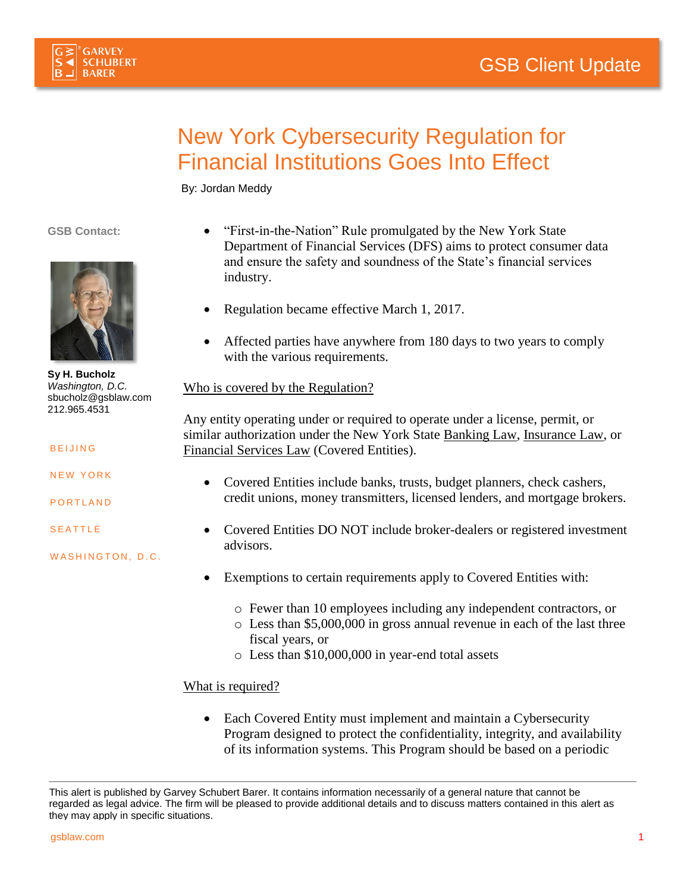



## New York Cybersecurity Regulation for Financial Institutions Goes Into Effect

By: Jordan Meddy

**GSB Contact:**



**Sy H. Bucholz** *Washington, D.C.* [sbucholz@gsblaw.com](mailto:sbucholz@gsblaw.com) 212.965.4531

**BEIJING** 

**NEW YORK** 

**PORTLAND** 

**SEATTLE** 

WASHINGTON, D.C.

- "First-in-the-Nation" Rule promulgated by the New York State Department of Financial Services (DFS) aims to protect consumer data and ensure the safety and soundness of the State's financial services industry.
- Regulation became effective March 1, 2017.
- Affected parties have anywhere from 180 days to two years to comply with the various requirements.

## Who is covered by the Regulation?

Any entity operating under or required to operate under a license, permit, or similar authorization under the New York State Banking Law, Insurance Law, or Financial Services Law (Covered Entities).

- Covered Entities include banks, trusts, budget planners, check cashers, credit unions, money transmitters, licensed lenders, and mortgage brokers.
- Covered Entities DO NOT include broker-dealers or registered investment advisors.
- Exemptions to certain requirements apply to Covered Entities with:
	- o Fewer than 10 employees including any independent contractors, or
	- o Less than \$5,000,000 in gross annual revenue in each of the last three fiscal years, or
	- o Less than \$10,000,000 in year-end total assets

## What is required?

• Each Covered Entity must implement and maintain a Cybersecurity Program designed to protect the confidentiality, integrity, and availability of its information systems. This Program should be based on a periodic

This alert is published by Garvey Schubert Barer. It contains information necessarily of a general nature that cannot be regarded as legal advice. The firm will be pleased to provide additional details and to discuss matters contained in this alert as they may apply in specific situations.